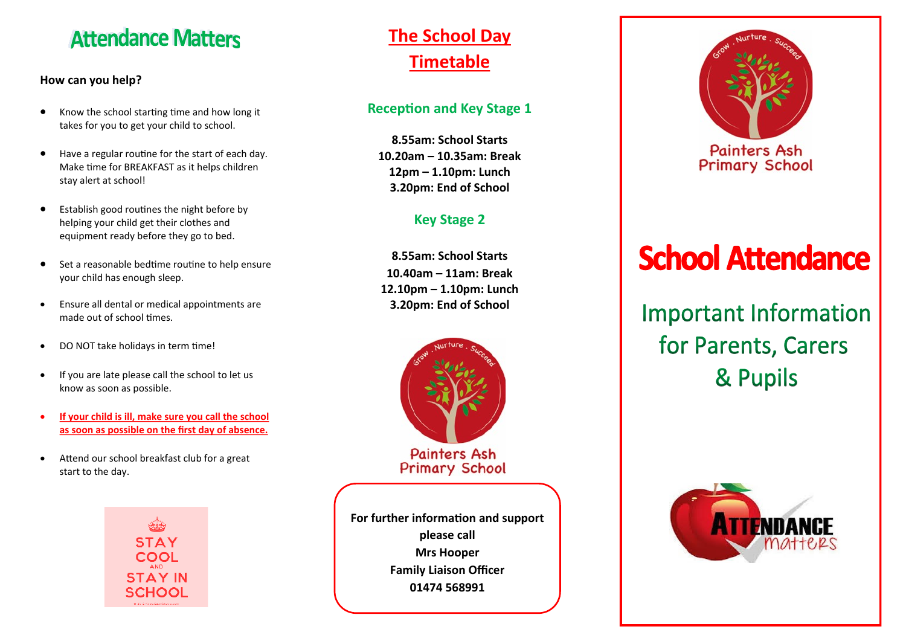# **Attendance Matters**

### **How can you help?**

- Know the school starting time and how long it takes for you to get your child to school.
- Have a regular routine for the start of each day. Make time for BREAKFAST as it helps children stay alert at school!
- Establish good routines the night before by helping your child get their clothes and equipment ready before they go to bed.
- Set a reasonable bedtime routine to help ensure your child has enough sleep.
- Ensure all dental or medical appointments are made out of school times.
- DO NOT take holidays in term time!
- If you are late please call the school to let us know as soon as possible.
- **If your child is ill, make sure you call the school as soon as possible on the first day of absence.**
- Attend our school breakfast club for a great start to the day.



## **The School Day Timetable**

## **Reception and Key Stage 1**

**8.55am: School Starts 10.20am – 10.35am: Break 12pm – 1.10pm: Lunch 3.20pm: End of School**

## **Key Stage 2**

**8.55am: School Starts 10.40am – 11am: Break 12.10pm – 1.10pm: Lunch 3.20pm: End of School**



**For further information and support please call Mrs Hooper Family Liaison Officer 01474 568991**



# **School Attendance**

# **Important Information** for Parents, Carers & Pupils